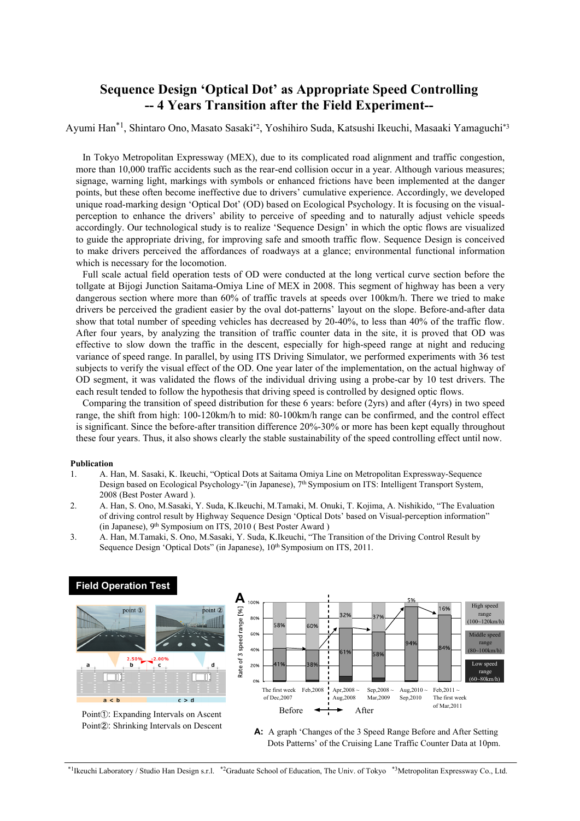## **Sequence Design 'Optical Dot' as Appropriate Speed Controlling -- 4 Years Transition after the Field Experiment--**

## Ayumi Han\*1, Shintaro Ono, Masato Sasaki\*2, Yoshihiro Suda, Katsushi Ikeuchi, Masaaki Yamaguchi\*3

In Tokyo Metropolitan Expressway (MEX), due to its complicated road alignment and traffic congestion, more than 10,000 traffic accidents such as the rear-end collision occur in a year. Although various measures; signage, warning light, markings with symbols or enhanced frictions have been implemented at the danger points, but these often become ineffective due to drivers' cumulative experience. Accordingly, we developed unique road-marking design 'Optical Dot' (OD) based on Ecological Psychology. It is focusing on the visualperception to enhance the drivers' ability to perceive of speeding and to naturally adjust vehicle speeds accordingly. Our technological study is to realize 'Sequence Design' in which the optic flows are visualized to guide the appropriate driving, for improving safe and smooth traffic flow. Sequence Design is conceived to make drivers perceived the affordances of roadways at a glance; environmental functional information which is necessary for the locomotion.

Full scale actual field operation tests of OD were conducted at the long vertical curve section before the tollgate at Bijogi Junction Saitama-Omiya Line of MEX in 2008. This segment of highway has been a very dangerous section where more than 60% of traffic travels at speeds over 100km/h. There we tried to make drivers be perceived the gradient easier by the oval dot-patterns' layout on the slope. Before-and-after data show that total number of speeding vehicles has decreased by 20-40%, to less than 40% of the traffic flow. After four years, by analyzing the transition of traffic counter data in the site, it is proved that OD was effective to slow down the traffic in the descent, especially for high-speed range at night and reducing variance of speed range. In parallel, by using ITS Driving Simulator, we performed experiments with 36 test subjects to verify the visual effect of the OD. One year later of the implementation, on the actual highway of OD segment, it was validated the flows of the individual driving using a probe-car by 10 test drivers. The each result tended to follow the hypothesis that driving speed is controlled by designed optic flows.

Comparing the transition of speed distribution for these 6 years: before (2yrs) and after (4yrs) in two speed range, the shift from high: 100-120km/h to mid: 80-100km/h range can be confirmed, and the control effect is significant. Since the before-after transition difference 20%-30% or more has been kept equally throughout these four years. Thus, it also shows clearly the stable sustainability of the speed controlling effect until now.

## **Publication**

- 1. A. Han, M. Sasaki, K. Ikeuchi, "Optical Dots at Saitama Omiya Line on Metropolitan Expressway-Sequence Design based on Ecological Psychology-"(in Japanese), 7<sup>th</sup> Symposium on ITS: Intelligent Transport System, 2008 (Best Poster Award ).
- 2. A. Han, S. Ono, M.Sasaki, Y. Suda, K.Ikeuchi, M.Tamaki, M. Onuki, T. Kojima, A. Nishikido, "The Evaluation of driving control result by Highway Sequence Design 'Optical Dots' based on Visual-perception information" (in Japanese), 9<sup>th</sup> Symposium on ITS, 2010 (Best Poster Award )
- 3. A. Han, M.Tamaki, S. Ono, M.Sasaki, Y. Suda, K.Ikeuchi, "The Transition of the Driving Control Result by Sequence Design 'Optical Dots" (in Japanese),  $10^{th}$  Symposium on ITS, 2011.

## point 1 point C b  $\overline{c}$  $a < h$  $c > d$

**Field Operation Test**

Point①: Expanding Intervals on Ascent Point②: Shrinking Intervals on Descent